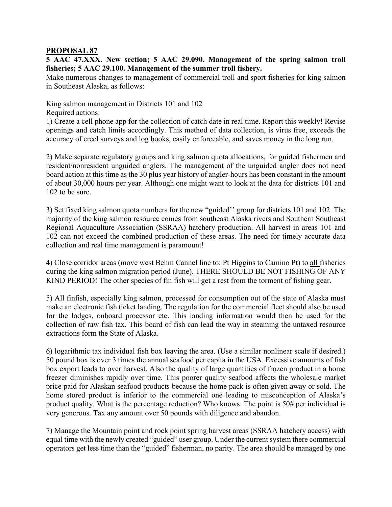## **PROPOSAL 87**

**5 AAC 47.XXX. New section; 5 AAC 29.090. Management of the spring salmon troll fisheries; 5 AAC 29.100. Management of the summer troll fishery.**

Make numerous changes to management of commercial troll and sport fisheries for king salmon in Southeast Alaska, as follows:

King salmon management in Districts 101 and 102 Required actions:

1) Create a cell phone app for the collection of catch date in real time. Report this weekly! Revise openings and catch limits accordingly. This method of data collection, is virus free, exceeds the accuracy of creel surveys and log books, easily enforceable, and saves money in the long run.

2) Make separate regulatory groups and king salmon quota allocations, for guided fishermen and resident/nonresident unguided anglers. The management of the unguided angler does not need board action at this time as the 30 plus year history of angler-hours has been constant in the amount of about 30,000 hours per year. Although one might want to look at the data for districts 101 and 102 to be sure.

3) Set fixed king salmon quota numbers for the new "guided'' group for districts 101 and 102. The majority of the king salmon resource comes from southeast Alaska rivers and Southern Southeast Regional Aquaculture Association (SSRAA) hatchery production. All harvest in areas 101 and 102 can not exceed the combined production of these areas. The need for timely accurate data collection and real time management is paramount!

4) Close corridor areas (move west Behm Cannel line to: Pt Higgins to Camino Pt) to all fisheries during the king salmon migration period (June). THERE SHOULD BE NOT FISHING OF ANY KIND PERIOD! The other species of fin fish will get a rest from the torment of fishing gear.

5) All finfish, especially king salmon, processed for consumption out of the state of Alaska must make an electronic fish ticket landing. The regulation for the commercial fleet should also be used for the lodges, onboard processor etc. This landing information would then be used for the collection of raw fish tax. This board of fish can lead the way in steaming the untaxed resource extractions form the State of Alaska.

6) logarithmic tax individual fish box leaving the area. (Use a similar nonlinear scale if desired.) 50 pound box is over 3 times the annual seafood per capita in the USA. Excessive amounts of fish box export leads to over harvest. Also the quality of large quantities of frozen product in a home freezer diminishes rapidly over time. This poorer quality seafood affects the wholesale market price paid for Alaskan seafood products because the home pack is often given away or sold. The home stored product is inferior to the commercial one leading to misconception of Alaska's product quality. What is the percentage reduction? Who knows. The point is 50# per individual is very generous. Tax any amount over 50 pounds with diligence and abandon.

7) Manage the Mountain point and rock point spring harvest areas (SSRAA hatchery access) with equal time with the newly created "guided" user group. Under the current system there commercial operators get less time than the "guided" fisherman, no parity. The area should be managed by one